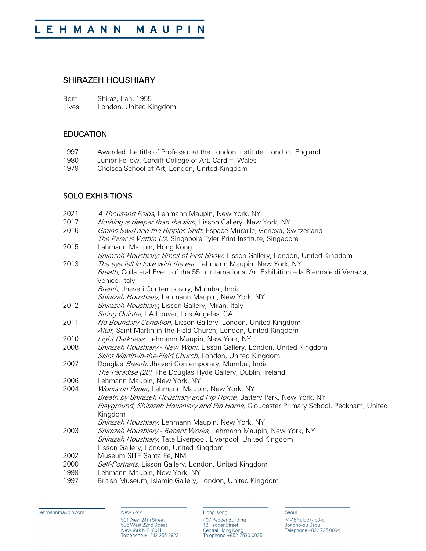## SHIRAZEH HOUSHIARY

| Born  | Shiraz, Iran, 1955     |
|-------|------------------------|
| Lives | London, United Kingdom |

## EDUCATION

- 1997 Awarded the title of Professor at the London Institute, London, England<br>1980 Junior Fellow, Cardiff College of Art, Cardiff, Wales
- 1980 Junior Fellow, Cardiff College of Art, Cardiff, Wales<br>1979 Chelsea School of Art, London, United Kingdom
- Chelsea School of Art, London, United Kingdom

## SOLO EXHIBITIONS

| 2021 | A Thousand Folds, Lehmann Maupin, New York, NY                                              |
|------|---------------------------------------------------------------------------------------------|
| 2017 | Nothing is deeper than the skin, Lisson Gallery, New York, NY                               |
| 2016 | Grains Swirl and the Ripples Shift, Espace Muraille, Geneva, Switzerland                    |
|      | The River is Within Us, Singapore Tyler Print Institute, Singapore                          |
| 2015 | Lehmann Maupin, Hong Kong                                                                   |
|      | Shirazeh Houshiary: Smell of First Snow, Lisson Gallery, London, United Kingdom             |
| 2013 | The eye fell in love with the ear, Lehmann Maupin, New York, NY                             |
|      | Breath, Collateral Event of the 55th International Art Exhibition - la Biennale di Venezia, |
|      | Venice, Italy                                                                               |
|      | Breath, Jhaveri Contemporary, Mumbai, India                                                 |
|      | Shirazeh Houshiary, Lehmann Maupin, New York, NY                                            |
| 2012 | Shirazeh Houshiary, Lisson Gallery, Milan, Italy                                            |
|      | String Quintet, LA Louver, Los Angeles, CA                                                  |
| 2011 | No Boundary Condition, Lisson Gallery, London, United Kingdom                               |
|      | Altar, Saint Martin-in-the-Field Church, London, United Kingdom                             |
| 2010 | Light Darkness, Lehmann Maupin, New York, NY                                                |
| 2008 | Shirazeh Houshiary - New Work, Lisson Gallery, London, United Kingdom                       |
|      | Saint Martin-in-the-Field Church, London, United Kingdom                                    |
| 2007 | Douglas Breath, Jhaveri Contemporary, Mumbai, India                                         |
|      | The Paradise (28), The Douglas Hyde Gallery, Dublin, Ireland                                |
| 2006 | Lehmann Maupin, New York, NY                                                                |
| 2004 | Works on Paper, Lehmann Maupin, New York, NY                                                |
|      | Breath by Shirazeh Houshiary and Pip Home, Battery Park, New York, NY                       |
|      | Playground, Shirazeh Houshiary and Pip Horne, Gloucester Primary School, Peckham, United    |
|      | Kingdom                                                                                     |
|      | Shirazeh Houshiary, Lehmann Maupin, New York, NY                                            |
| 2003 | Shirazeh Houshiary - Recent Works, Lehmann Maupin, New York, NY                             |
|      | Shirazeh Houshiary, Tate Liverpool, Liverpool, United Kingdom                               |
|      | Lisson Gallery, London, United Kingdom                                                      |
| 2002 | Museum SITE Santa Fe, NM                                                                    |
| 2000 | Self-Portraits, Lisson Gallery, London, United Kingdom                                      |
| 1999 | Lehmann Maupin, New York, NY                                                                |
| 1997 | British Museum, Islamic Gallery, London, United Kingdom                                     |

lehmannmaupin.com

New York 501 West 24th Street<br>536 West 22nd Street<br>New York NY 10011<br>Telephone +1 212 255 2923

Hong Kong 407 Pedder Building 12 Pedder Street<br>12 Pedder Street<br>Central Hong Kong<br>Telephone +852 2530 0025 Seoul 74-18 Yulgok-ro3-gil<br>Jongno-gu Seoul<br>Telephone +822 725 0094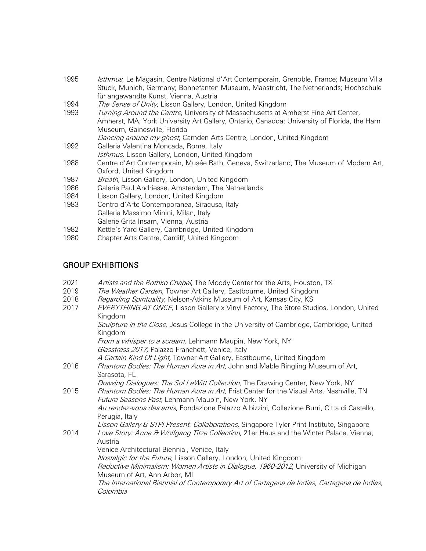- 1995 *Isthmus*, Le Magasin, Centre National d'Art Contemporain, Grenoble, France; Museum Villa Stuck, Munich, Germany; Bonnefanten Museum, Maastricht, The Netherlands; Hochschule für angewandte Kunst, Vienna, Austria
- 1994 *The Sense of Unity*, Lisson Gallery, London, United Kingdom
- 1993 *Turning Around the Centre*, University of Massachusetts at Amherst Fine Art Center, Amherst, MA; York University Art Gallery, Ontario, Canadda; University of Florida, the Harn Museum, Gainesville, Florida
- Dancing around my ghost, Camden Arts Centre, London, United Kingdom
- 1992 Galleria Valentina Moncada, Rome, Italy
- Isthmus, Lisson Gallery, London, United Kingdom 1988 Centre d'Art Contemporain, Musée Rath, Geneva, Switzerland; The Museum of Modern Art,
- Oxford, United Kingdom
- 1987 Breath, Lisson Gallery, London, United Kingdom
- 1986 Galerie Paul Andriesse, Amsterdam, The Netherlands
- 1984 Lisson Gallery, London, United Kingdom
- 1983 Centro d'Arte Contemporanea, Siracusa, Italy Galleria Massimo Minini, Milan, Italy Galerie Grita Insam, Vienna, Austria
- 1982 Kettle's Yard Gallery, Cambridge, United Kingdom<br>1980 Chapter Arts Centre. Cardiff. United Kingdom
- Chapter Arts Centre, Cardiff, United Kingdom

## GROUP EXHIBITIONS

- 2021 Artists and the Rothko Chapel, The Moody Center for the Arts, Houston, TX<br>2019 The Weather Garden, Towner Art Gallery, Eastbourne, United Kingdom
- The Weather Garden, Towner Art Gallery, Eastbourne, United Kingdom
- 2018 *Regarding Spirituality,* Nelson-Atkins Museum of Art, Kansas City, KS<br>2017 *EVERYTHING AT ONCE*, Lisson Gallery x Vinyl Factory, The Store Stu
- EVERYTHING AT ONCE, Lisson Gallery x Vinyl Factory, The Store Studios, London, United Kingdom

Sculpture in the Close, Jesus College in the University of Cambridge, Cambridge, United Kingdom

From a whisper to a scream, Lehmann Maupin, New York, NY Glasstress 2017, Palazzo Franchett, Venice, Italy

A Certain Kind Of Light, Towner Art Gallery, Eastbourne, United Kingdom

2016 Phantom Bodies: The Human Aura in Art, John and Mable Ringling Museum of Art, Sarasota, FL

Drawing Dialogues: The Sol LeWitt Collection, The Drawing Center, New York, NY

2015 Phantom Bodies: The Human Aura in Art, Frist Center for the Visual Arts, Nashville, TN Future Seasons Past, Lehmann Maupin, New York, NY Au rendez-vous des amis, Fondazione Palazzo Albizzini, Collezione Burri, Citta di Castello,

Perugia, Italy

Lisson Gallery & STPI Present: Collaborations, Singapore Tyler Print Institute, Singapore 2014 Love Story: Anne & Wolfgang Titze Collection, 21er Haus and the Winter Palace, Vienna,

Austria

Venice Architectural Biennial, Venice, Italy

Nostalgic for the Future, Lisson Gallery, London, United Kingdom

Reductive Minimalism: Women Artists in Dialogue, 1960-2012, University of Michigan Museum of Art, Ann Arbor, MI

The International Biennial of Contemporary Art of Cartagena de Indias, Cartagena de Indias, Colombia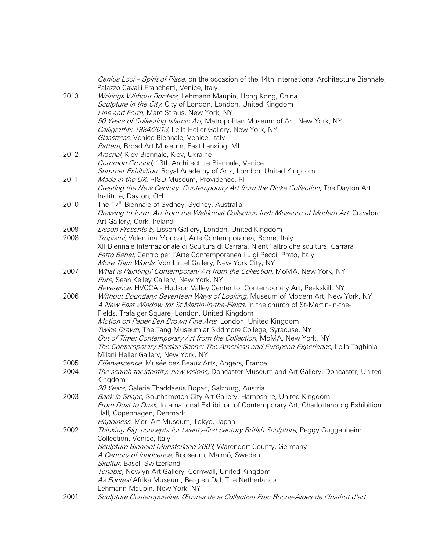|      | Genius Loci – Spirit of Place, on the occasion of the 14th International Architecture Biennale, |
|------|-------------------------------------------------------------------------------------------------|
|      | Palazzo Cavalli Franchetti, Venice, Italy                                                       |
| 2013 | Writings Without Borders, Lehmann Maupin, Hong Kong, China                                      |
|      | Sculpture in the City, City of London, London, United Kingdom                                   |
|      | Line and Form, Marc Straus, New York, NY                                                        |
|      | 50 Years of Collecting Islamic Art, Metropolitan Museum of Art, New York, NY                    |
|      |                                                                                                 |
|      | Calligraffiti: 1984/2013, Leila Heller Gallery, New York, NY                                    |
|      | Glasstress, Venice Biennale, Venice, Italy                                                      |
|      | Pattern, Broad Art Museum, East Lansing, MI                                                     |
| 2012 | Arsenal, Kiev Biennale, Kiev, Ukraine                                                           |
|      | Common Ground, 13th Architecture Biennale, Venice                                               |
|      | Summer Exhibition, Royal Academy of Arts, London, United Kingdom                                |
| 2011 | Made in the UK, RISD Museum, Providence, RI                                                     |
|      | Creating the New Century: Contemporary Art from the Dicke Collection, The Dayton Art            |
|      | Institute, Dayton, OH                                                                           |
| 2010 | The 17 <sup>th</sup> Biennale of Sydney, Sydney, Australia                                      |
|      | Drawing to form: Art from the Weltkunst Collection Irish Museum of Modern Art, Crawford         |
|      | Art Gallery, Cork, Ireland                                                                      |
| 2009 | Lisson Presents 5, Lisson Gallery, London, United Kingdom                                       |
| 2008 | Tropismi, Valentina Moncad, Arte Contemporanea, Rome, Italy                                     |
|      | XII Biennale Internazionale di Scultura di Carrara, Nient "altro che scultura, Carrara          |
|      | Fatto Bene!, Centro per l'Arte Contemporanea Luigi Pecci, Prato, Italy                          |
|      |                                                                                                 |
|      | More Than Words, Von Lintel Gallery, New York City, NY                                          |
| 2007 | What is Painting? Contemporary Art from the Collection, MoMA, New York, NY                      |
|      | Pure, Sean Kelley Gallery, New York, NY                                                         |
|      | Reverence, HVCCA - Hudson Valley Center for Contemporary Art, Peekskill, NY                     |
| 2006 | Without Boundary: Seventeen Ways of Looking, Museum of Modern Art, New York, NY                 |
|      | A New East Window for St Martin-in-the-Fields, in the church of St-Martin-in-the-               |
|      | Fields, Trafalger Square, London, United Kingdom                                                |
|      | Motion on Paper Ben Brown Fine Arts, London, United Kingdom                                     |
|      | Twice Drawn, The Tang Museum at Skidmore College, Syracuse, NY                                  |
|      | Out of Time: Contemporary Art from the Collection, MoMA, New York, NY                           |
|      | The Contemporary Persian Scene: The American and European Experience, Leila Taghinia-           |
|      | Milani Heller Gallery, New York, NY                                                             |
| 2005 | Effervescence, Musée des Beaux Arts, Angers, France                                             |
| 2004 | The search for identity, new visions, Doncaster Museum and Art Gallery, Doncaster, United       |
|      | Kingdom                                                                                         |
|      | 20 Years, Galerie Thaddaeus Ropac, Salzburg, Austria                                            |
| 2003 | Back in Shape, Southampton City Art Gallery, Hampshire, United Kingdom                          |
|      | From Dust to Dusk, International Exhibition of Contemporary Art, Charlottenborg Exhibition      |
|      |                                                                                                 |
|      | Hall, Copenhagen, Denmark                                                                       |
|      | Happiness, Mori Art Museum, Tokyo, Japan                                                        |
| 2002 | Thinking Big: concepts for twenty-first century British Sculpture, Peggy Guggenheim             |
|      | Collection, Venice, Italy                                                                       |
|      | Sculpture Biennial Munsterland 2003, Warendorf County, Germany                                  |
|      | A Century of Innocence, Rooseum, Malmö, Sweden                                                  |
|      | Skultur, Basel, Switzerland                                                                     |
|      | Tenable, Newlyn Art Gallery, Cornwall, United Kingdom                                           |
|      | As Fontes! Afrika Museum, Berg en Dal, The Netherlands                                          |
|      | Lehmann Maupin, New York, NY                                                                    |
| 2001 | Sculpture Contemporaine: Œuvres de la Collection Frac Rhône-Alpes de l'Institut d'art           |
|      |                                                                                                 |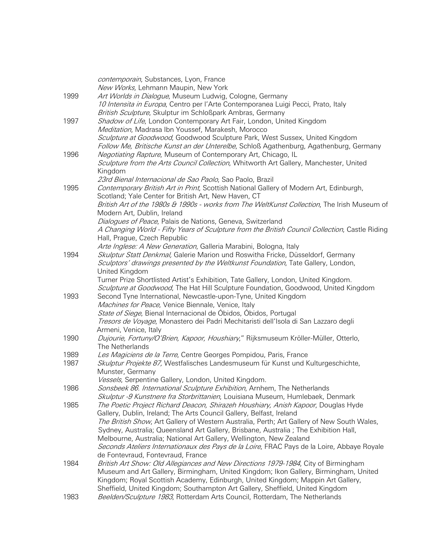|      | contemporain, Substances, Lyon, France                                                                                                                           |
|------|------------------------------------------------------------------------------------------------------------------------------------------------------------------|
|      | New Works, Lehmann Maupin, New York                                                                                                                              |
| 1999 | Art Worlds in Dialogue, Museum Ludwig, Cologne, Germany                                                                                                          |
|      | 10 Intensita in Europa, Centro per l'Arte Contemporanea Luigi Pecci, Prato, Italy                                                                                |
|      | British Sculpture, Skulptur im Schloßpark Ambras, Germany                                                                                                        |
| 1997 | Shadow of Life, London Contemporary Art Fair, London, United Kingdom                                                                                             |
|      | Meditation, Madrasa Ibn Youssef, Marakesh, Morocco                                                                                                               |
|      | Sculpture at Goodwood, Goodwood Sculpture Park, West Sussex, United Kingdom                                                                                      |
|      | Follow Me, Britische Kunst an der Unterelbe, Schloß Agathenburg, Agathenburg, Germany                                                                            |
| 1996 | Negotiating Rapture, Museum of Contemporary Art, Chicago, IL                                                                                                     |
|      | Sculpture from the Arts Council Collection, Whitworth Art Gallery, Manchester, United                                                                            |
|      | Kingdom                                                                                                                                                          |
|      | 23rd Bienal Internacional de Sao Paolo, Sao Paolo, Brazil                                                                                                        |
| 1995 | Contemporary British Art in Print, Scottish National Gallery of Modern Art, Edinburgh,                                                                           |
|      | Scotland; Yale Center for British Art, New Haven, CT                                                                                                             |
|      | British Art of the 1980s & 1990s - works from The WeltKunst Collection, The Irish Museum of                                                                      |
|      | Modern Art, Dublin, Ireland                                                                                                                                      |
|      | Dialogues of Peace, Palais de Nations, Geneva, Switzerland                                                                                                       |
|      | A Changing World - Fifty Years of Sculpture from the British Council Collection, Castle Riding                                                                   |
|      | Hall, Prague, Czech Republic                                                                                                                                     |
|      | Arte Inglese: A New Generation, Galleria Marabini, Bologna, Italy                                                                                                |
| 1994 | Skulptur Statt Denkmal, Galerie Marion und Roswitha Fricke, Düsseldorf, Germany                                                                                  |
|      | Sculptors' drawings presented by the Weltkunst Foundation, Tate Gallery, London,                                                                                 |
|      | United Kingdom                                                                                                                                                   |
|      | Turner Prize Shortlisted Artist's Exhibition, Tate Gallery, London, United Kingdom.                                                                              |
|      | Sculpture at Goodwood, The Hat Hill Sculpture Foundation, Goodwood, United Kingdom                                                                               |
| 1993 | Second Tyne International, Newcastle-upon-Tyne, United Kingdom                                                                                                   |
|      | Machines for Peace, Venice Biennale, Venice, Italy                                                                                                               |
|      | State of Siege, Bienal Internacional de Óbidos, Óbidos, Portugal                                                                                                 |
|      | Tresors de Voyage, Monastero dei Padri Mechitaristi dell'Isola di San Lazzaro degli                                                                              |
|      | Armeni, Venice, Italy                                                                                                                                            |
| 1990 | Dujourie, Fortuny/O'Brien, Kapoor, Houshiary," Rijksmuseum Kröller-Müller, Otterlo,                                                                              |
|      | The Netherlands                                                                                                                                                  |
| 1989 | Les Magiciens de la Terre, Centre Georges Pompidou, Paris, France                                                                                                |
| 1987 | Skulptur Projekte 87, Westfalisches Landesmuseum für Kunst und Kulturgeschichte,                                                                                 |
|      | Munster, Germany                                                                                                                                                 |
|      | Vessels, Serpentine Gallery, London, United Kingdom.                                                                                                             |
| 1986 | Sonsbeek 86. International Sculpture Exhibition, Arnhem, The Netherlands                                                                                         |
|      | Skulptur -9 Kunstnere fra Storbrittanien, Louisiana Museum, Humlebaek, Denmark                                                                                   |
| 1985 | The Poetic Project Richard Deacon, Shirazeh Houshiary, Anish Kapoor, Douglas Hyde                                                                                |
|      | Gallery, Dublin, Ireland; The Arts Council Gallery, Belfast, Ireland                                                                                             |
|      | The British Show, Art Gallery of Western Australia, Perth; Art Gallery of New South Wales,                                                                       |
|      | Sydney, Australia; Queensland Art Gallery, Brisbane, Australia; The Exhibition Hall,                                                                             |
|      | Melbourne, Australia; National Art Gallery, Wellington, New Zealand                                                                                              |
|      | Seconds Ateliers Internationaux des Pays de la Loire, FRAC Pays de la Loire, Abbaye Royale                                                                       |
|      | de Fontevraud, Fontevraud, France                                                                                                                                |
| 1984 | British Art Show: Old Allegiances and New Directions 1979-1984, City of Birmingham                                                                               |
|      | Museum and Art Gallery, Birmingham, United Kingdom; Ikon Gallery, Birmingham, United                                                                             |
|      | Kingdom; Royal Scottish Academy, Edinburgh, United Kingdom; Mappin Art Gallery,<br>Sheffield, United Kingdom; Southampton Art Gallery, Sheffield, United Kingdom |
| 1983 | Beelden/Sculpture 1983, Rotterdam Arts Council, Rotterdam, The Netherlands                                                                                       |
|      |                                                                                                                                                                  |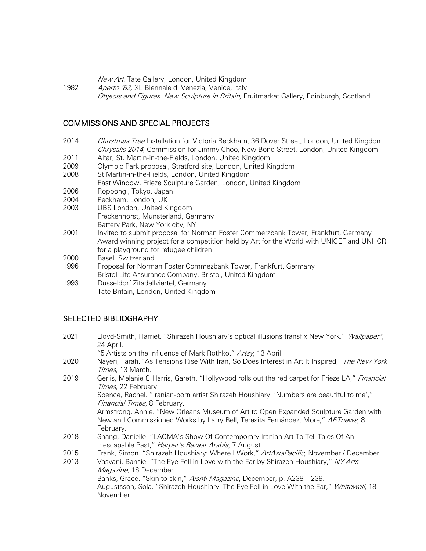New Art, Tate Gallery, London, United Kingdom

1982 Aperto '82, XL Biennale di Venezia, Venice, Italy Objects and Figures. New Sculpture in Britain, Fruitmarket Gallery, Edinburgh, Scotland

### COMMISSIONS AND SPECIAL PROJECTS

- 2014 Christmas Tree Installation for Victoria Beckham, 36 Dover Street, London, United Kingdom Chrysalis 2014, Commission for Jimmy Choo, New Bond Street, London, United Kingdom
- 2011 Altar, St. Martin-in-the-Fields, London, United Kingdom
- 2009 Olympic Park proposal, Stratford site, London, United Kingdom
- 2008 St Martin-in-the-Fields, London, United Kingdom
- East Window, Frieze Sculpture Garden, London, United Kingdom
- 2006 Roppongi, Tokyo, Japan<br>2004 Peckham, London, UK
- Peckham, London, UK
- 2003 UBS London, United Kingdom Freckenhorst, Munsterland, Germany Battery Park, New York city, NY
- 2001 Invited to submit proposal for Norman Foster Commerzbank Tower, Frankfurt, Germany Award winning project for a competition held by Art for the World with UNICEF and UNHCR for a playground for refugee children
- 2000 Basel, Switzerland
- 1996 Proposal for Norman Foster Commezbank Tower, Frankfurt, Germany Bristol Life Assurance Company, Bristol, United Kingdom
- 1993 Düsseldorf Zitadellviertel, Germany Tate Britain, London, United Kingdom

#### SELECTED BIBLIOGRAPHY

- 2021 Lloyd-Smith, Harriet. "Shirazeh Houshiary's optical illusions transfix New York." Wallpaper\*, 24 April. "5 Artists on the Influence of Mark Rothko." Artsy, 13 April.
- 2020 Nayeri, Farah. "As Tensions Rise With Iran, So Does Interest in Art It Inspired," The New York Times, 13 March.
- 2019 Gerlis, Melanie & Harris, Gareth. "Hollywood rolls out the red carpet for Frieze LA," Financial Times, 22 February.

Spence, Rachel. "Iranian-born artist Shirazeh Houshiary: 'Numbers are beautiful to me'," Financial Times, 8 February.

Armstrong, Annie. "New Orleans Museum of Art to Open Expanded Sculpture Garden with New and Commissioned Works by Larry Bell, Teresita Fernández, More," ARTnews, 8 February.

- 2018 Shang, Danielle. "LACMA's Show Of Contemporary Iranian Art To Tell Tales Of An Inescapable Past," Harper's Bazaar Arabia, 7 August.
- 2015 Frank, Simon. "Shirazeh Houshiary: Where I Work," ArtAsiaPacific, November / December.
- 2013 Vasvani, Bansie. "The Eye Fell in Love with the Ear by Shirazeh Houshiary," NY Arts Magazine, 16 December. Banks, Grace. "Skin to skin," Aishti Magazine, December, p. A238 - 239.

Augustsson, Sola. "Shirazeh Houshiary: The Eye Fell in Love With the Ear," Whitewall, 18 November.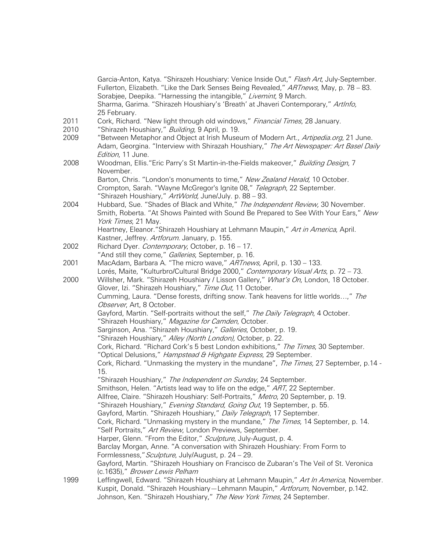|      | Garcia-Anton, Katya. "Shirazeh Houshiary: Venice Inside Out," Flash Art, July-September.<br>Fullerton, Elizabeth. "Like the Dark Senses Being Revealed," ARTnews, May, p. 78 - 83.<br>Sorabjee, Deepika. "Harnessing the intangible," Livemint, 9 March.<br>Sharma, Garima. "Shirazeh Houshiary's 'Breath' at Jhaveri Contemporary," ArtInfo,<br>25 February. |
|------|---------------------------------------------------------------------------------------------------------------------------------------------------------------------------------------------------------------------------------------------------------------------------------------------------------------------------------------------------------------|
| 2011 | Cork, Richard. "New light through old windows," Financial Times, 28 January.                                                                                                                                                                                                                                                                                  |
| 2010 | "Shirazeh Houshiary," Building, 9 April, p. 19.                                                                                                                                                                                                                                                                                                               |
| 2009 | "Between Metaphor and Object at Irish Museum of Modern Art., Artipedia.org, 21 June.                                                                                                                                                                                                                                                                          |
|      | Adam, Georgina. "Interview with Shirazah Houshiary," The Art Newspaper: Art Basel Daily                                                                                                                                                                                                                                                                       |
|      | Edition, 11 June.                                                                                                                                                                                                                                                                                                                                             |
| 2008 | Woodman, Ellis."Eric Parry's St Martin-in-the-Fields makeover," Building Design, 7                                                                                                                                                                                                                                                                            |
|      | November.                                                                                                                                                                                                                                                                                                                                                     |
|      | Barton, Chris. "London's monuments to time," New Zealand Herald, 10 October.                                                                                                                                                                                                                                                                                  |
|      | Crompton, Sarah. "Wayne McGregor's Ignite 08," Telegraph, 22 September.                                                                                                                                                                                                                                                                                       |
|      | "Shirazeh Houshiary," ArtWorld, June/July. p. 88 - 93.                                                                                                                                                                                                                                                                                                        |
| 2004 | Hubbard, Sue. "Shades of Black and White," The Independent Review, 30 November.                                                                                                                                                                                                                                                                               |
|      | Smith, Roberta. "At Shows Painted with Sound Be Prepared to See With Your Ears," New                                                                                                                                                                                                                                                                          |
|      | York Times, 21 May.                                                                                                                                                                                                                                                                                                                                           |
|      | Heartney, Eleanor."Shirazeh Houshiary at Lehmann Maupin," Art in America, April.                                                                                                                                                                                                                                                                              |
|      | Kastner, Jeffrey. Artforum. January, p. 155.                                                                                                                                                                                                                                                                                                                  |
| 2002 | Richard Dyer. Contemporary, October, p. 16 - 17.                                                                                                                                                                                                                                                                                                              |
|      | "And still they come," Galleries, September, p. 16.                                                                                                                                                                                                                                                                                                           |
| 2001 | MacAdam, Barbara A. "The micro wave," ARTnews, April, p. 130 - 133.                                                                                                                                                                                                                                                                                           |
|      | Lorés, Maite, "Kulturbro/Cultural Bridge 2000," Contemporary Visual Arts, p. 72 - 73.                                                                                                                                                                                                                                                                         |
| 2000 | Willsher, Mark. "Shirazeh Houshiary / Lisson Gallery," What's On, London, 18 October.                                                                                                                                                                                                                                                                         |
|      | Glover, Izi. "Shirazeh Houshiary," Time Out, 11 October.                                                                                                                                                                                                                                                                                                      |
|      | Cumming, Laura. "Dense forests, drifting snow. Tank heavens for little worlds," The                                                                                                                                                                                                                                                                           |
|      | Observer, Art, 8 October.                                                                                                                                                                                                                                                                                                                                     |
|      | Gayford, Martin. "Self-portraits without the self," The Daily Telegraph, 4 October.                                                                                                                                                                                                                                                                           |
|      | "Shirazeh Houshiary," Magazine for Camden, October.                                                                                                                                                                                                                                                                                                           |
|      | Sarginson, Ana. "Shirazeh Houshiary," Galleries, October, p. 19.                                                                                                                                                                                                                                                                                              |
|      | "Shirazeh Houshiary," Alley (North London), October, p. 22.                                                                                                                                                                                                                                                                                                   |
|      | Cork, Richard. "Richard Cork's 5 best London exhibitions," The Times, 30 September.<br>"Optical Delusions," Hampstead & Highgate Express, 29 September.                                                                                                                                                                                                       |
|      | Cork, Richard. "Unmasking the mystery in the mundane", The Times, 27 September, p.14 -                                                                                                                                                                                                                                                                        |
|      | 15.                                                                                                                                                                                                                                                                                                                                                           |
|      | "Shirazeh Houshiary," The Independent on Sunday, 24 September.                                                                                                                                                                                                                                                                                                |
|      | Smithson, Helen. "Artists lead way to life on the edge," ART, 22 September.                                                                                                                                                                                                                                                                                   |
|      | Allfree, Claire. "Shirazeh Houshiary: Self-Portraits," Metro, 20 September, p. 19.                                                                                                                                                                                                                                                                            |
|      | "Shirazeh Houshiary," Evening Standard, Going Out, 19 September, p. 55.                                                                                                                                                                                                                                                                                       |
|      | Gayford, Martin. "Shirazeh Houshiary," Daily Telegraph, 17 September.                                                                                                                                                                                                                                                                                         |
|      | Cork, Richard. "Unmasking mystery in the mundane," The Times, 14 September, p. 14.                                                                                                                                                                                                                                                                            |
|      | "Self Portraits," Art Review, London Previews, September.                                                                                                                                                                                                                                                                                                     |
|      | Harper, Glenn. "From the Editor," Sculpture, July-August, p. 4.                                                                                                                                                                                                                                                                                               |
|      | Barclay Morgan, Anne. "A conversation with Shirazeh Houshiary: From Form to                                                                                                                                                                                                                                                                                   |
|      | Formlessness," Sculpture, July/August, p. 24 - 29.                                                                                                                                                                                                                                                                                                            |
|      | Gayford, Martin. "Shirazeh Houshiary on Francisco de Zubaran's The Veil of St. Veronica                                                                                                                                                                                                                                                                       |
|      | (c.1635)," Brower Lewis Pelham                                                                                                                                                                                                                                                                                                                                |
| 1999 | Leffingwell, Edward. "Shirazeh Houshiary at Lehmann Maupin," Art In America, November.                                                                                                                                                                                                                                                                        |
|      | Kuspit, Donald. "Shirazeh Houshiary-Lehmann Maupin," Artforum, November, p.142.                                                                                                                                                                                                                                                                               |
|      | Johnson, Ken. "Shirazeh Houshiary," The New York Times, 24 September.                                                                                                                                                                                                                                                                                         |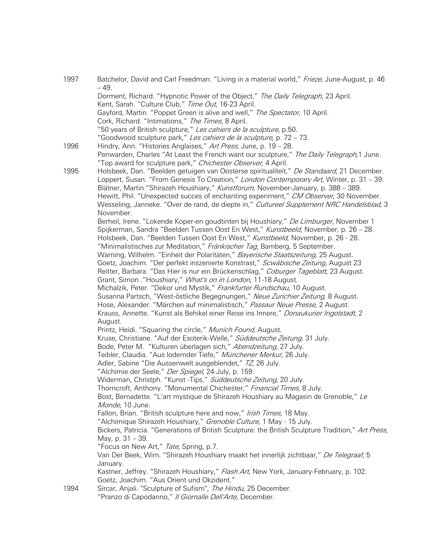| 1997 | Batchelor, David and Carl Freedman. "Living in a material world," Frieze, June-August, p. 46                                                              |
|------|-----------------------------------------------------------------------------------------------------------------------------------------------------------|
|      | $-49.$<br>Dorment, Richard. "Hypnotic Power of the Object," The Daily Telegraph, 23 April.                                                                |
|      | Kent, Sarah. "Culture Club," Time Out, 16-23 April.                                                                                                       |
|      | Gayford, Martin. "Poppet Green is alive and well," The Spectator, 10 April.                                                                               |
|      | Cork, Richard. "Intimations," The Times, 8 April.                                                                                                         |
|      | "50 years of British sculpture," Les cahiers de la sculpture, p.50.                                                                                       |
|      | "Goodwood sculpture park," Les cahiers de la sculpture, p. 72 - 73.                                                                                       |
| 1996 | Hindry, Ann. "Histories Anglaises," Art Press, June, p. 19 - 28.                                                                                          |
|      | Penwarden, Charles "At Least the French want our sculpture," The Daily Telegraph,1 June.<br>"Top award for sculpture park," Chichester Observer, 4 April. |
| 1995 | Holsbeek, Dan. "Beelden getuigen van Oosterse spiritualiteit," De Standaard, 21 December.                                                                 |
|      | Loppert, Susan. "From Genesis To Creation," London Contemporary Art, Winter, p. 31 - 39.                                                                  |
|      | Blätner, Martin "Shirazeh Houshiary," Kunstforum, November-January, p. 388 - 389.                                                                         |
|      | Hewitt, Phil. "Unexpected succes of enchanting experiment," CM Observer, 30 November.                                                                     |
|      | Wesseling, Janneke. "Over de rand, de diepte in," Cultureel Supplement NRC Handelsblad, 3<br>November.                                                    |
|      | Berheil, Irene. "Lokende Koper-en goudtinten bij Houshiary," De Limburger, November 1                                                                     |
|      | Spijkerman, Sandra "Beelden Tussen Oost En West," Kunstbeeld, November, p. 26 - 28.                                                                       |
|      | Holsbeek, Dan. "Beelden Tussen Oost En West," Kunstbeeld, November, p. 26 - 28.                                                                           |
|      | "Minimalistisches zur Meditation," Fränkischer Tag, Bamberg, 5 September.                                                                                 |
|      | Warning, Wilhelm. "Einheit der Polaritäten," Bayerische Staatszeitung, 25 August.                                                                         |
|      | Goetz, Joachim. "Der perfekt inszenierte Konstrast," Scwäbische Zeitung, August 23                                                                        |
|      | Reitter, Barbara. "Das Hier is nur ein Brückenschlag," Coburger Tageblatt, 23 August.                                                                     |
|      | Grant, Simon . "Houshiary," What's on in London, 11-18 August.                                                                                            |
|      | Michalzik, Peter. "Dekor und Mystik," Frankfurter Rundschau, 10 August.                                                                                   |
|      | Susanna Partsch, "West-östliche Begegnungen," Neue Zurichier Zeitung, 8 August.                                                                           |
|      | Hose, Alexander. "Märchen auf minimalistisch," Passaur Neue Presse, 2 August.                                                                             |
|      | Krauss, Annette. "Kunst als Behikel einer Reise ins Innere," Donaukurier Ingolstadt, 2                                                                    |
|      | August.                                                                                                                                                   |
|      | Printz, Heidi. "Squaring the circle," Munich Found, August.                                                                                               |
|      | Kruse, Christiane. "Auf der Esoterik-Welle," Süddeutsche Zeitung, 31 July.                                                                                |
|      | Bode, Peter M. "Kulturen überlagen sich," Abendzeitung, 27 July.                                                                                          |
|      | Teibler, Claudia. "Aus lodernder Tiefe," Münchener Merkur, 26 July.                                                                                       |
|      | Adler, Sabine "Die Aussenwelt ausgeblendet," TZ, 26 July.                                                                                                 |
|      | "Alchimie der Seele," Der Spiegel, 24 July, p. 159.                                                                                                       |
|      | Widerman, Christph. "Kunst -Tips," Süddeutsche Zeitung, 20 July.                                                                                          |
|      | Thorncroft, Anthony. "Monumental Chichester," Financial Times, 8 July.                                                                                    |
|      | Bost, Bernadette. "L'art mystique de Shirazeh Houshiary au Magasin de Grenoble," Le                                                                       |
|      | Monde, 10 June.                                                                                                                                           |
|      | Fallon, Brian. "British sculpture here and now," Irish Times, 18 May.                                                                                     |
|      | "Alchimique Shirazeh Houshiary," Grenoble Culture, 1 May - 15 July.                                                                                       |
|      | Bickers, Patricia. "Generations of British Sculpture: the British Sculpture Tradition," Art Press,                                                        |
|      | May, p. 31 - 39.<br>"Focus on New Art," Tate, Spring, p.7.                                                                                                |
|      | Van Der Beek, Wim. "Shirazeh Houshiary maakt het innerlijk zichtbaar," De Telegraaf, 5                                                                    |
|      | January.                                                                                                                                                  |
|      | Kastner, Jeffrey. "Shirazeh Houshiary," Flash Art, New York, January-February, p. 102.                                                                    |
|      | Goetz, Joachim. "Aus Orient und Okzident."                                                                                                                |
| 1994 | Sircar, Anjali. "Sculpture of Sufism", The Hindu, 25 December.<br>"Pranzo di Capodanno," Il Giornalle Dell'Arte, December.                                |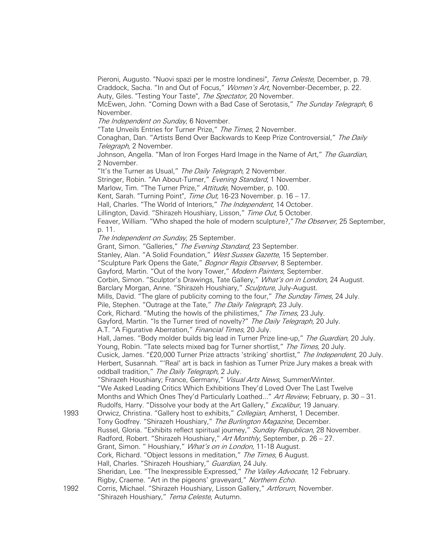Pieroni, Augusto. "Nuovi spazi per le mostre londinesi", Tema Celeste, December, p. 79. Craddock, Sacha. "In and Out of Focus," Women's Art, November-December, p. 22. Auty, Giles. "Testing Your Taste", The Spectator, 20 November.

McEwen, John. "Coming Down with a Bad Case of Serotasis," The Sunday Telegraph, 6 November.

The Independent on Sunday, 6 November.

"Tate Unveils Entries for Turner Prize," The Times, 2 November.

Conaghan, Dan. "Artists Bend Over Backwards to Keep Prize Controversial," The Daily Telegraph, 2 November.

Johnson, Angella. "Man of Iron Forges Hard Image in the Name of Art," The Guardian, 2 November.

"It's the Turner as Usual," The Daily Telegraph, 2 November. Stringer, Robin. "An About-Turner," Evening Standard, 1 November. Marlow, Tim. "The Turner Prize," Attitude, November, p. 100. Kent, Sarah. "Turning Point", Time Out, 16-23 November. p. 16 - 17. Hall, Charles. "The World of Interiors," The Independent, 14 October. Lillington, David. "Shirazeh Houshiary, Lisson," Time Out, 5 October. Feaver, William. "Who shaped the hole of modern sculpture?," The Observer, 25 September, p. 11. The Independent on Sunday, 25 September. Grant, Simon. "Galleries," The Evening Standard, 23 September. Stanley, Alan. "A Solid Foundation," West Sussex Gazette, 15 September. "Sculpture Park Opens the Gate," Bognor Regis Observer, 8 September. Gayford, Martin. "Out of the Ivory Tower," Modern Painters, September. Corbin, Simon. "Sculptor's Drawings, Tate Gallery," What's on in London, 24 August. Barclary Morgan, Anne. "Shirazeh Houshiary," Sculpture, July-August. Mills, David. "The glare of publicity coming to the four," The Sunday Times, 24 July. Pile, Stephen. "Outrage at the Tate," The Daily Telegraph, 23 July. Cork, Richard. "Muting the howls of the philistimes," The Times, 23 July. Gayford, Martin. "Is the Turner tired of novelty?" The Daily Telegraph, 20 July. A.T. "A Figurative Aberration," Financial Times, 20 July. Hall, James. "Body molder builds big lead in Turner Prize line-up," The Guardian, 20 July. Young, Robin. "Tate selects mixed bag for Turner shortlist," The Times, 20 July. Cusick, James. "£20,000 Turner Prize attracts 'striking' shortlist," The Independent, 20 July. Herbert, Susannah. "'Real' art is back in fashion as Turner Prize Jury makes a break with oddball tradition," The Daily Telegraph, 2 July. "Shirazeh Houshiary; France, Germany," Visual Arts News, Summer/Winter. "We Asked Leading Critics Which Exhibitions They'd Loved Over The Last Twelve Months and Which Ones They'd Particularly Loathed..." Art Review, February, p. 30 - 31. Rudolfs, Harry. "Dissolve your body at the Art Gallery," Excalibur, 19 January. 1993 Orwicz, Christina. "Gallery host to exhibits," Collegian, Amherst, 1 December. Tony Godfrey. "Shirazeh Houshiary," The Burlington Magazine, December. Russel, Gloria. "Exhibits reflect spiritual journey," Sunday Republican, 28 November. Radford, Robert. "Shirazeh Houshiary," Art Monthly, September, p. 26 - 27. Grant, Simon. "Houshiary," What's on in London, 11-18 August. Cork, Richard. "Object lessons in meditation," The Times, 6 August. Hall, Charles. "Shirazeh Houshiary," Guardian, 24 July. Sheridan, Lee. "The Inexpressible Expressed." The Valley Advocate, 12 February. Rigby, Craeme. "Art in the pigeons' graveyard," Northern Echo. 1992 Corris, Michael. "Shirazeh Houshiary, Lisson Gallery," Artforum, November. "Shirazeh Houshiary," Tema Celeste, Autumn.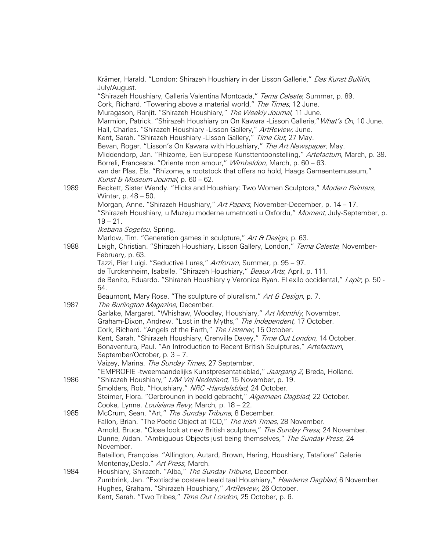|      | Krämer, Harald. "London: Shirazeh Houshiary in der Lisson Gallerie," Das Kunst Bullitin,                                                                              |
|------|-----------------------------------------------------------------------------------------------------------------------------------------------------------------------|
|      | July/August.                                                                                                                                                          |
|      | "Shirazeh Houshiary, Galleria Valentina Montcada," Tema Celeste, Summer, p. 89.                                                                                       |
|      | Cork, Richard. "Towering above a material world," The Times, 12 June.<br>Muragason, Ranjit. "Shirazeh Houshiary," The Weekly Journal, 11 June.                        |
|      | Marmion, Patrick. "Shirazeh Houshiary on On Kawara -Lisson Gallerie," What's On, 10 June.                                                                             |
|      | Hall, Charles. "Shirazeh Houshiary -Lisson Gallery," ArtReview, June.                                                                                                 |
|      | Kent, Sarah. "Shirazeh Houshiary -Lisson Gallery," Time Out, 27 May.                                                                                                  |
|      | Bevan, Roger. "Lisson's On Kawara with Houshiary," The Art Newspaper, May.                                                                                            |
|      | Middendorp, Jan. "Rhizome, Een Europese Kunsttentoonstelling," Artefactum, March, p. 39.                                                                              |
|      | Borreli, Francesca. "Oriente mon amour," Wimbeldon, March, p. 60 - 63.                                                                                                |
|      | van der Plas, Els. "Rhizome, a rootstock that offers no hold, Haags Gemeentemuseum,"                                                                                  |
|      | Kunst & Museum Journal, p. 60 - 62.                                                                                                                                   |
| 1989 | Beckett, Sister Wendy. "Hicks and Houshiary: Two Women Sculptors," Modern Painters,                                                                                   |
|      | Winter, p. 48 - 50.                                                                                                                                                   |
|      | Morgan, Anne. "Shirazeh Houshiary," Art Papers, November-December, p. 14 - 17.                                                                                        |
|      | "Shirazeh Houshiary, u Muzeju moderne umetnosti u Oxfordu," Moment, July-September, p.                                                                                |
|      | $19 - 21$ .                                                                                                                                                           |
|      | Ikebana Sogetsu, Spring.                                                                                                                                              |
|      | Marlow, Tim. "Generation games in sculpture," Art & Design, p. 63.                                                                                                    |
| 1988 | Leigh, Christian. "Shirazeh Houshiary, Lisson Gallery, London," Tema Celeste, November-                                                                               |
|      | February, p. 63.                                                                                                                                                      |
|      | Tazzi, Pier Luigi. "Seductive Lures," Artforum, Summer, p. 95 - 97.                                                                                                   |
|      | de Turckenheim, Isabelle. "Shirazeh Houshiary," Beaux Arts, April, p. 111.                                                                                            |
|      | de Benito, Eduardo. "Shirazeh Houshiary y Veronica Ryan. El exilo occidental," Lapiz, p. 50 -<br>54.                                                                  |
|      | Beaumont, Mary Rose. "The sculpture of pluralism," Art & Design, p. 7.                                                                                                |
| 1987 | The Burlington Magazine, December.                                                                                                                                    |
|      | Garlake, Margaret. "Whishaw, Woodley, Houshiary," Art Monthly, November.                                                                                              |
|      | Graham-Dixon, Andrew. "Lost in the Myths," The Independent, 17 October.                                                                                               |
|      | Cork, Richard. "Angels of the Earth," The Listener, 15 October.                                                                                                       |
|      | Kent, Sarah. "Shirazeh Houshiary, Grenville Davey," Time Out London, 14 October.                                                                                      |
|      | Bonaventura, Paul. "An Introduction to Recent British Sculptures," Artefactum,                                                                                        |
|      | September/October, p. 3 – 7.                                                                                                                                          |
|      | Vaizey, Marina. The Sunday Times, 27 September.                                                                                                                       |
|      | "EMPROFIE -tweemaandelijks Kunstpresentatieblad," Jaargang 2, Breda, Holland.                                                                                         |
| 1986 | "Shirazeh Houshiary," L/M Vrij Nederland, 15 November, p. 19.                                                                                                         |
|      | Smolders, Rob. "Houshiary," NRC -Handelsblad, 24 October.                                                                                                             |
|      | Steimer, Flora. "Oerbrounen in beeld gebracht," Algemeen Dagblad, 22 October.                                                                                         |
|      | Cooke, Lynne. Louisiana Revy, March, p. 18 - 22.                                                                                                                      |
| 1985 | McCrum, Sean. "Art," The Sunday Tribune, 8 December.                                                                                                                  |
|      | Fallon, Brian. "The Poetic Object at TCD," The Irish Times, 28 November.                                                                                              |
|      | Arnold, Bruce. "Close look at new British sculpture," The Sunday Press, 24 November.<br>Dunne, Aidan. "Ambiguous Objects just being themselves," The Sunday Press, 24 |
|      | November.                                                                                                                                                             |
|      | Bataillon, Françoise. "Allington, Autard, Brown, Haring, Houshiary, Tatafiore" Galerie                                                                                |
|      | Montenay, Deslo." Art Press, March.                                                                                                                                   |
| 1984 | Houshiary, Shirazeh. "Alba," The Sunday Tribune, December.                                                                                                            |
|      | Zumbrink, Jan. "Exotische oostere beeld taal Houshiary," Haarlems Dagblad, 6 November.                                                                                |
|      | Hughes, Graham. "Shirazeh Houshiary," ArtReview, 26 October.                                                                                                          |
|      | Kent, Sarah. "Two Tribes," Time Out London, 25 October, p. 6.                                                                                                         |
|      |                                                                                                                                                                       |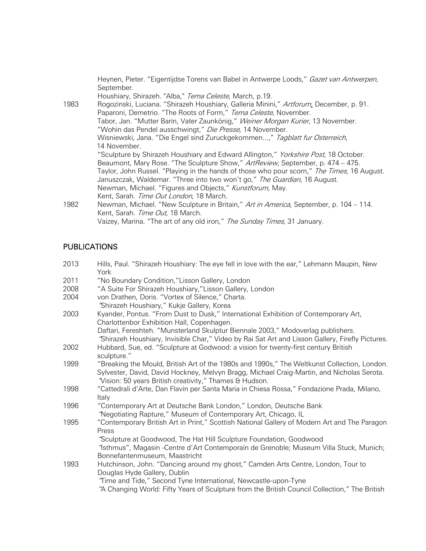|      | Heynen, Pieter. "Eigentijdse Torens van Babel in Antwerpe Loods," Gazet van Antwerpen,<br>September.                                                       |
|------|------------------------------------------------------------------------------------------------------------------------------------------------------------|
|      | Houshiary, Shirazeh. "Alba," Tema Celeste, March, p.19.                                                                                                    |
| 1983 | Rogozinski, Luciana. "Shirazeh Houshiary, Galleria Minini," Artforum, December, p. 91.<br>Paparoni, Demetrio. "The Roots of Form," Tema Celeste, November. |
|      | Tabor, Jan. "Mutter Barin, Vater Zaunkönig," Weiner Morgan Kurier, 13 November.                                                                            |
|      | "Wohin das Pendel ausschwingt," Die Presse, 14 November.                                                                                                   |
|      | Wisniewski, Jana. "Die Engel sind Zuruckgekommen," Tagblatt fur Osterreich,                                                                                |
|      | 14 November.                                                                                                                                               |
|      | "Sculpture by Shirazeh Houshiary and Edward Allington," Yorkshire Post, 18 October.                                                                        |
|      | Beaumont, Mary Rose. "The Sculpture Show," ArtReview, September, p. 474 - 475.                                                                             |
|      | Taylor, John Russel. "Playing in the hands of those who pour scorn," The Times, 16 August.                                                                 |
|      | Januszczak, Waldemar. "Three into two won't go," The Guardian, 16 August.                                                                                  |
|      | Newman, Michael. "Figures and Objects," Kunstforum, May.                                                                                                   |
|      | Kent, Sarah. Time Out London, 18 March.                                                                                                                    |
| 1982 | Newman, Michael. "New Sculpture in Britain," Art in America, September, p. 104 – 114.                                                                      |
|      | Kent, Sarah. Time Out, 18 March.                                                                                                                           |
|      | Vaizey, Marina. "The art of any old iron," The Sunday Times, 31 January.                                                                                   |

# PUBLICATIONS

| 2013 | Hills, Paul. "Shirazeh Houshiary: The eye fell in love with the ear," Lehmann Maupin, New<br>York                                                                                              |
|------|------------------------------------------------------------------------------------------------------------------------------------------------------------------------------------------------|
| 2011 | "No Boundary Condition, "Lisson Gallery, London                                                                                                                                                |
| 2008 | "A Suite For Shirazeh Houshiary, "Lisson Gallery, London                                                                                                                                       |
| 2004 | von Drathen, Doris. "Vortex of Silence," Charta.                                                                                                                                               |
| 2003 | "Shirazeh Houshiary," Kukje Gallery, Korea                                                                                                                                                     |
|      | Kyander, Pontus. "From Dust to Dusk," International Exhibition of Contemporary Art,<br>Charlottenbor Exhibition Hall, Copenhagen.                                                              |
|      | Daftari, Fereshteh. "Munsterland Skulptur Biennale 2003," Modoverlag publishers.<br>"Shirazeh Houshiary, Invisible Char," Video by Rai Sat Art and Lisson Gallery, Firefly Pictures.           |
| 2002 | Hubbard, Sue, ed. "Sculpture at Godwood: a vision for twenty-first century British<br>sculpture."                                                                                              |
| 1999 | "Breaking the Mould, British Art of the 1980s and 1990s," The Weltkunst Collection, London.                                                                                                    |
|      | Sylvester, David, David Hockney, Melvyn Bragg, Michael Craig-Martin, and Nicholas Serota.<br>"Vision: 50 years British creativity," Thames & Hudson.                                           |
| 1998 | "Cattedrali d'Arte, Dan Flavin per Santa Maria in Chiesa Rossa," Fondazione Prada, Milano,<br>Italy                                                                                            |
| 1996 | "Contemporary Art at Deutsche Bank London," London, Deutsche Bank<br>'Negotiating Rapture," Museum of Contemporary Art, Chicago, IL                                                            |
| 1995 | "Contemporary British Art in Print," Scottish National Gallery of Modern Art and The Paragon<br>Press                                                                                          |
|      | 'Sculpture at Goodwood, The Hat Hill Sculpture Foundation, Goodwood<br>'Isthmus", Magasin -Centre d'Art Contemporain de Grenoble; Museum Villa Stuck, Munich;<br>Bonnefantenmuseum, Maastricht |
| 1993 | Hutchinson, John. "Dancing around my ghost," Camden Arts Centre, London, Tour to                                                                                                               |
|      | Douglas Hyde Gallery, Dublin<br>"Time and Tide," Second Tyne International, Newcastle-upon-Tyne                                                                                                |
|      | "A Changing World: Fifty Years of Sculpture from the British Council Collection," The British                                                                                                  |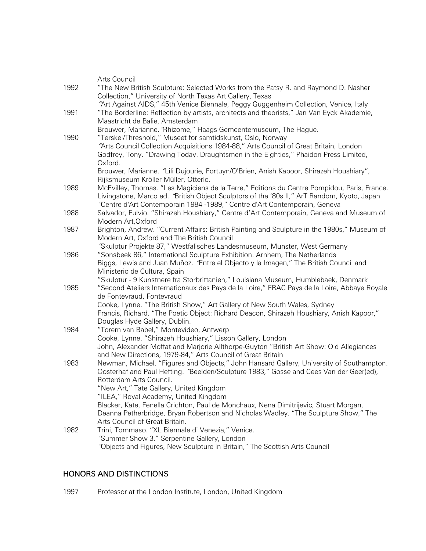|      | Arts Council                                                                                                         |
|------|----------------------------------------------------------------------------------------------------------------------|
| 1992 | "The New British Sculpture: Selected Works from the Patsy R. and Raymond D. Nasher                                   |
|      | Collection," University of North Texas Art Gallery, Texas                                                            |
|      | "Art Against AIDS," 45th Venice Biennale, Peggy Guggenheim Collection, Venice, Italy                                 |
| 1991 | "The Borderline: Reflection by artists, architects and theorists," Jan Van Eyck Akademie,                            |
|      | Maastricht de Balie, Amsterdam                                                                                       |
|      | Brouwer, Marianne. 'Rhizome," Haags Gemeentemuseum, The Hague.                                                       |
| 1990 | "Terskel/Threshold," Museet for samtidskunst, Oslo, Norway                                                           |
|      | "Arts Council Collection Acquisitions 1984-88," Arts Council of Great Britain, London                                |
|      | Godfrey, Tony. "Drawing Today. Draughtsmen in the Eighties," Phaidon Press Limited,                                  |
|      | Oxford.                                                                                                              |
|      | Brouwer, Marianne. "Lili Dujourie, Fortuyn/O'Brien, Anish Kapoor, Shirazeh Houshiary",                               |
|      | Rijksmuseum Kröller Müller, Otterlo.                                                                                 |
| 1989 | McEvilley, Thomas. "Les Magiciens de la Terre," Editions du Centre Pompidou, Paris, France.                          |
|      | Livingstone, Marco ed. "British Object Sculptors of the '80s II," ArT Random, Kyoto, Japan                           |
|      | "Centre d'Art Contemporain 1984 -1989," Centre d'Art Contemporain, Geneva                                            |
| 1988 | Salvador, Fulvio. "Shirazeh Houshiary," Centre d'Art Contemporain, Geneva and Museum of                              |
|      | Modern Art, Oxford                                                                                                   |
| 1987 | Brighton, Andrew. "Current Affairs: British Painting and Sculpture in the 1980s," Museum of                          |
|      | Modern Art, Oxford and The British Council                                                                           |
|      | "Skulptur Projekte 87," Westfalisches Landesmuseum, Munster, West Germany                                            |
| 1986 | "Sonsbeek 86," International Sculpture Exhibition. Arnhem, The Netherlands                                           |
|      | Biggs, Lewis and Juan Muñoz. 'Entre el Objecto y la Imagen," The British Council and<br>Ministerio de Cultura, Spain |
|      | "Skulptur - 9 Kunstnere fra Storbrittanien," Louisiana Museum, Humblebaek, Denmark                                   |
| 1985 | "Second Ateliers Internationaux des Pays de la Loire," FRAC Pays de la Loire, Abbaye Royale                          |
|      | de Fontevraud, Fontevraud                                                                                            |
|      | Cooke, Lynne. "The British Show," Art Gallery of New South Wales, Sydney                                             |
|      | Francis, Richard. "The Poetic Object: Richard Deacon, Shirazeh Houshiary, Anish Kapoor,"                             |
|      | Douglas Hyde Gallery, Dublin.                                                                                        |
| 1984 | "Torem van Babel," Montevideo, Antwerp                                                                               |
|      | Cooke, Lynne. "Shirazeh Houshiary," Lisson Gallery, London                                                           |
|      | John, Alexander Moffat and Marjorie Allthorpe-Guyton "British Art Show: Old Allegiances                              |
|      | and New Directions, 1979-84," Arts Council of Great Britain                                                          |
| 1983 | Newman, Michael. "Figures and Objects," John Hansard Gallery, University of Southampton.                             |
|      | Oosterhaf and Paul Hefting. "Beelden/Sculpture 1983," Gosse and Cees Van der Geer(ed),                               |
|      | Rotterdam Arts Council.                                                                                              |
|      | "New Art," Tate Gallery, United Kingdom                                                                              |
|      | "ILEA," Royal Academy, United Kingdom                                                                                |
|      | Blacker, Kate, Fenella Crichton, Paul de Monchaux, Nena Dimitrijevic, Stuart Morgan,                                 |
|      | Deanna Petherbridge, Bryan Robertson and Nicholas Wadley. "The Sculpture Show," The                                  |
|      | Arts Council of Great Britain.                                                                                       |
| 1982 | Trini, Tommaso. "XL Biennale di Venezia," Venice.                                                                    |
|      | "Summer Show 3," Serpentine Gallery, London                                                                          |
|      | "Objects and Figures, New Sculpture in Britain," The Scottish Arts Council                                           |

#### HONORS AND DISTINCTIONS

1997 Professor at the London Institute, London, United Kingdom